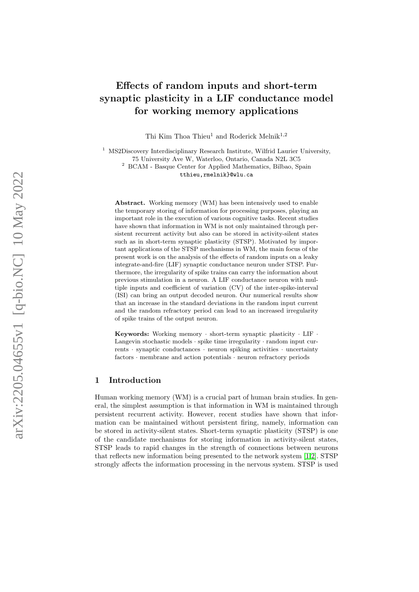# Effects of random inputs and short-term synaptic plasticity in a LIF conductance model for working memory applications

Thi Kim Thoa Thieu<sup>1</sup> and Roderick Melnik<sup>1,2</sup>

<sup>1</sup> MS2Discovery Interdisciplinary Research Institute, Wilfrid Laurier University, 75 University Ave W, Waterloo, Ontario, Canada N2L 3C5 <sup>2</sup> BCAM - Basque Center for Applied Mathematics, Bilbao, Spain tthieu,rmelnik}@wlu.ca

Abstract. Working memory (WM) has been intensively used to enable the temporary storing of information for processing purposes, playing an important role in the execution of various cognitive tasks. Recent studies have shown that information in WM is not only maintained through persistent recurrent activity but also can be stored in activity-silent states such as in short-term synaptic plasticity (STSP). Motivated by important applications of the STSP mechanisms in WM, the main focus of the present work is on the analysis of the effects of random inputs on a leaky integrate-and-fire (LIF) synaptic conductance neuron under STSP. Furthermore, the irregularity of spike trains can carry the information about previous stimulation in a neuron. A LIF conductance neuron with multiple inputs and coefficient of variation (CV) of the inter-spike-interval (ISI) can bring an output decoded neuron. Our numerical results show that an increase in the standard deviations in the random input current and the random refractory period can lead to an increased irregularity of spike trains of the output neuron.

Keywords: Working memory · short-term synaptic plasticity · LIF · Langevin stochastic models · spike time irregularity · random input currents · synaptic conductances · neuron spiking activities · uncertainty factors · membrane and action potentials · neuron refractory periods

# 1 Introduction

Human working memory (WM) is a crucial part of human brain studies. In general, the simplest assumption is that information in WM is maintained through persistent recurrent activity. However, recent studies have shown that information can be maintained without persistent firing, namely, information can be stored in activity-silent states. Short-term synaptic plasticity (STSP) is one of the candidate mechanisms for storing information in activity-silent states, STSP leads to rapid changes in the strength of connections between neurons that reflects new information being presented to the network system [\[1,](#page-12-0)[2\]](#page-12-1). STSP strongly affects the information processing in the nervous system. STSP is used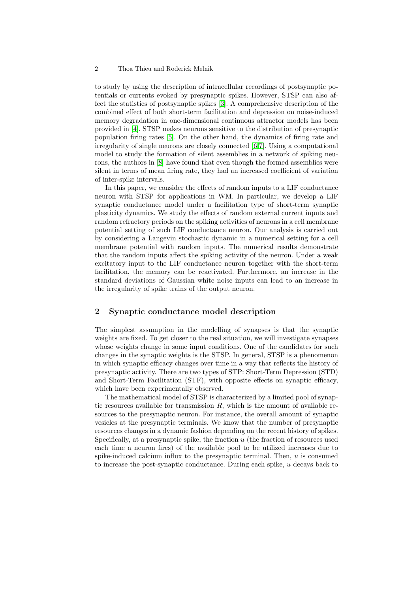#### 2 Thoa Thieu and Roderick Melnik

to study by using the description of intracellular recordings of postsynaptic potentials or currents evoked by presynaptic spikes. However, STSP can also affect the statistics of postsynaptic spikes [\[3\]](#page-12-2). A comprehensive description of the combined effect of both short-term facilitation and depression on noise-induced memory degradation in one-dimensional continuous attractor models has been provided in [\[4\]](#page-12-3). STSP makes neurons sensitive to the distribution of presynaptic population firing rates [\[5\]](#page-12-4). On the other hand, the dynamics of firing rate and irregularity of single neurons are closely connected [\[6](#page-12-5)[,7\]](#page-13-0). Using a computational model to study the formation of silent assemblies in a network of spiking neurons, the authors in [\[8\]](#page-13-1) have found that even though the formed assemblies were silent in terms of mean firing rate, they had an increased coefficient of variation of inter-spike intervals.

In this paper, we consider the effects of random inputs to a LIF conductance neuron with STSP for applications in WM. In particular, we develop a LIF synaptic conductance model under a facilitation type of short-term synaptic plasticity dynamics. We study the effects of random external current inputs and random refractory periods on the spiking activities of neurons in a cell membrane potential setting of such LIF conductance neuron. Our analysis is carried out by considering a Langevin stochastic dynamic in a numerical setting for a cell membrane potential with random inputs. The numerical results demonstrate that the random inputs affect the spiking activity of the neuron. Under a weak excitatory input to the LIF conductance neuron together with the short-term facilitation, the memory can be reactivated. Furthermore, an increase in the standard deviations of Gaussian white noise inputs can lead to an increase in the irregularity of spike trains of the output neuron.

## 2 Synaptic conductance model description

The simplest assumption in the modelling of synapses is that the synaptic weights are fixed. To get closer to the real situation, we will investigate synapses whose weights change in some input conditions. One of the candidates for such changes in the synaptic weights is the STSP. In general, STSP is a phenomenon in which synaptic efficacy changes over time in a way that reflects the history of presynaptic activity. There are two types of STP: Short-Term Depression (STD) and Short-Term Facilitation (STF), with opposite effects on synaptic efficacy, which have been experimentally observed.

The mathematical model of STSP is characterized by a limited pool of synaptic resources available for transmission  $R$ , which is the amount of available resources to the presynaptic neuron. For instance, the overall amount of synaptic vesicles at the presynaptic terminals. We know that the number of presynaptic resources changes in a dynamic fashion depending on the recent history of spikes. Specifically, at a presynaptic spike, the fraction  $u$  (the fraction of resources used each time a neuron fires) of the available pool to be utilized increases due to spike-induced calcium influx to the presynaptic terminal. Then,  $u$  is consumed to increase the post-synaptic conductance. During each spike, u decays back to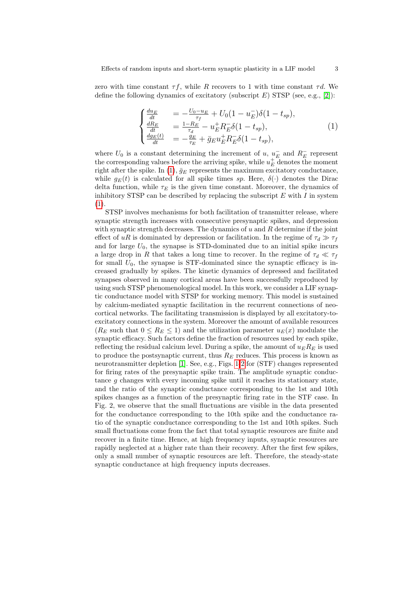zero with time constant  $\tau f$ , while R recovers to 1 with time constant  $\tau d$ . We define the following dynamics of excitatory (subscript  $E$ ) STSP (see, e.g., [\[2\]](#page-12-1)):

<span id="page-2-0"></span>
$$
\begin{cases}\n\frac{du_E}{dt} &= -\frac{U_0 - u_E}{\tau_f} + U_0 (1 - u_E^-) \delta (1 - t_{sp}), \n\frac{dR_E}{dt} &= \frac{1 - R_E}{\tau_d} - u_E^+ R_E^- \delta (1 - t_{sp}), \n\frac{dg_E(t)}{dt} &= -\frac{g_E}{\tau_E} + \bar{g}_E u_E^+ R_E^- \delta (1 - t_{sp}),\n\end{cases}
$$
\n(1)

where  $U_0$  is a constant determining the increment of u,  $u<sub>E</sub>^-$  and  $R<sub>E</sub>^-$  represent the corresponding values before the arriving spike, while  $u_E^+$  denotes the moment right after the spike. In [\(1\)](#page-2-0),  $\bar{g}_E$  represents the maximum excitatory conductance, while  $g_E(t)$  is calculated for all spike times sp. Here,  $\delta(\cdot)$  denotes the Dirac delta function, while  $\tau_E$  is the given time constant. Moreover, the dynamics of inhibitory STSP can be described by replacing the subscript  $E$  with  $I$  in system [\(1\)](#page-2-0).

STSP involves mechanisms for both facilitation of transmitter release, where synaptic strength increases with consecutive presynaptic spikes, and depression with synaptic strength decreases. The dynamics of  $u$  and  $R$  determine if the joint effect of uR is dominated by depression or facilitation. In the regime of  $\tau_d \gg \tau_f$ and for large  $U_0$ , the synapse is STD-dominated due to an initial spike incurs a large drop in R that takes a long time to recover. In the regime of  $\tau_d \ll \tau_f$ for small  $U_0$ , the synapse is STF-dominated since the synaptic efficacy is increased gradually by spikes. The kinetic dynamics of depressed and facilitated synapses observed in many cortical areas have been successfully reproduced by using such STSP phenomenological model. In this work, we consider a LIF synaptic conductance model with STSP for working memory. This model is sustained by calcium-mediated synaptic facilitation in the recurrent connections of neocortical networks. The facilitating transmission is displayed by all excitatory-toexcitatory connections in the system. Moreover the amount of available resources  $(R_E \text{ such that } 0 \leq R_E \leq 1)$  and the utilization parameter  $u_E(x)$  modulate the synaptic efficacy. Such factors define the fraction of resources used by each spike, reflecting the residual calcium level. During a spike, the amount of  $u_E R_E$  is used to produce the postsynaptic current, thus  $R_E$  reduces. This process is known as neurotransmitter depletion [\[1\]](#page-12-0). See, e.g., Figs. [1](#page-3-0)[-2](#page-3-1) for (STF) changes represented for firing rates of the presynaptic spike train. The amplitude synaptic conductance g changes with every incoming spike until it reaches its stationary state, and the ratio of the synaptic conductance corresponding to the 1st and 10th spikes changes as a function of the presynaptic firing rate in the STF case. In Fig. 2, we observe that the small fluctuations are visible in the data presented for the conductance corresponding to the 10th spike and the conductance ratio of the synaptic conductance corresponding to the 1st and 10th spikes. Such small fluctuations come from the fact that total synaptic resources are finite and recover in a finite time. Hence, at high frequency inputs, synaptic resources are rapidly neglected at a higher rate than their recovery. After the first few spikes, only a small number of synaptic resources are left. Therefore, the steady-state synaptic conductance at high frequency inputs decreases.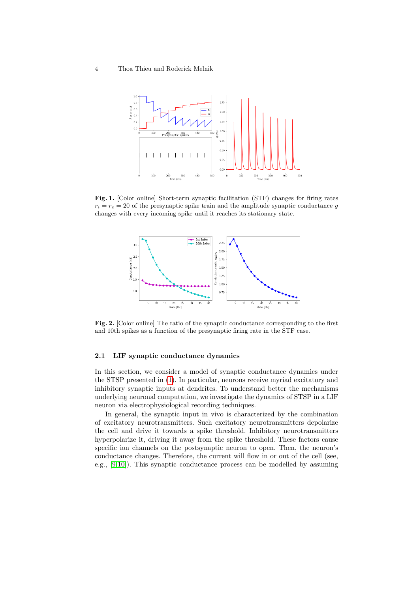#### 4 Thoa Thieu and Roderick Melnik



<span id="page-3-0"></span>Fig. 1. [Color online] Short-term synaptic facilitation (STF) changes for firing rates  $r_i = r_e = 20$  of the presynaptic spike train and the amplitude synaptic conductance g changes with every incoming spike until it reaches its stationary state.



<span id="page-3-1"></span>Fig. 2. [Color online] The ratio of the synaptic conductance corresponding to the first and 10th spikes as a function of the presynaptic firing rate in the STF case.

#### 2.1 LIF synaptic conductance dynamics

In this section, we consider a model of synaptic conductance dynamics under the STSP presented in [\(1\)](#page-2-0). In particular, neurons receive myriad excitatory and inhibitory synaptic inputs at dendrites. To understand better the mechanisms underlying neuronal computation, we investigate the dynamics of STSP in a LIF neuron via electrophysiological recording techniques.

In general, the synaptic input in vivo is characterized by the combination of excitatory neurotransmitters. Such excitatory neurotransmitters depolarize the cell and drive it towards a spike threshold. Inhibitory neurotransmitters hyperpolarize it, driving it away from the spike threshold. These factors cause specific ion channels on the postsynaptic neuron to open. Then, the neuron's conductance changes. Therefore, the current will flow in or out of the cell (see, e.g., [\[9](#page-13-2)[,10\]](#page-13-3)). This synaptic conductance process can be modelled by assuming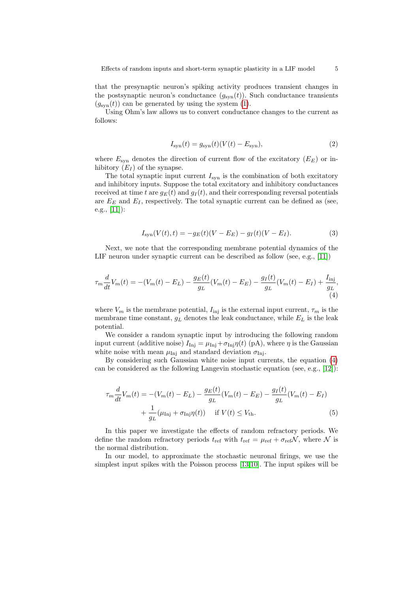that the presynaptic neuron's spiking activity produces transient changes in the postsynaptic neuron's conductance  $(g_{syn}(t))$ . Such conductance transients  $(g_{syn}(t))$  can be generated by using the system [\(1\)](#page-2-0).

Using Ohm's law allows us to convert conductance changes to the current as follows:

$$
I_{\rm syn}(t) = g_{\rm syn}(t)(V(t) - E_{\rm syn}),\tag{2}
$$

where  $E_{syn}$  denotes the direction of current flow of the excitatory  $(E_E)$  or inhibitory  $(E_I)$  of the synapse.

The total synaptic input current  $I_{syn}$  is the combination of both excitatory and inhibitory inputs. Suppose the total excitatory and inhibitory conductances received at time t are  $g_E(t)$  and  $g_I(t)$ , and their corresponding reversal potentials are  $E_E$  and  $E_I$ , respectively. The total synaptic current can be defined as (see, e.g., [\[11\]](#page-13-4)):

<span id="page-4-0"></span>
$$
I_{\rm syn}(V(t),t) = -g_E(t)(V - E_E) - g_I(t)(V - E_I). \tag{3}
$$

Next, we note that the corresponding membrane potential dynamics of the LIF neuron under synaptic current can be described as follow (see, e.g., [\[11\]](#page-13-4))

$$
\tau_m \frac{d}{dt} V_m(t) = -(V_m(t) - E_L) - \frac{g_E(t)}{g_L} (V_m(t) - E_E) - \frac{g_I(t)}{g_L} (V_m(t) - E_I) + \frac{I_{\text{inj}}}{g_L},
$$
\n(4)

where  $V_m$  is the membrane potential,  $I_{\text{inj}}$  is the external input current,  $\tau_m$  is the membrane time constant,  $g_L$  denotes the leak conductance, while  $E_L$  is the leak potential.

We consider a random synaptic input by introducing the following random input current (additive noise)  $I_{\text{Inj}} = \mu_{\text{Inj}} + \sigma_{\text{Inj}} \eta(t)$  (pA), where  $\eta$  is the Gaussian white noise with mean  $\mu_{\text{Inj}}$  and standard deviation  $\sigma_{\text{Inj}}$ .

By considering such Gaussian white noise input currents, the equation [\(4\)](#page-4-0) can be considered as the following Langevin stochastic equation (see, e.g., [\[12\]](#page-13-5)):

$$
\tau_m \frac{d}{dt} V_m(t) = -(V_m(t) - E_L) - \frac{g_E(t)}{g_L} (V_m(t) - E_E) - \frac{g_I(t)}{g_L} (V_m(t) - E_I) + \frac{1}{g_L} (\mu_{\text{Inj}} + \sigma_{\text{Inj}} \eta(t)) \quad \text{if } V(t) \le V_{\text{th}}.
$$
(5)

In this paper we investigate the effects of random refractory periods. We define the random refractory periods  $t_{ref}$  with  $t_{ref} = \mu_{ref} + \sigma_{ref} \mathcal{N}$ , where  $\mathcal{N}$  is the normal distribution.

In our model, to approximate the stochastic neuronal firings, we use the simplest input spikes with the Poisson process [\[13,](#page-13-6)[10\]](#page-13-3). The input spikes will be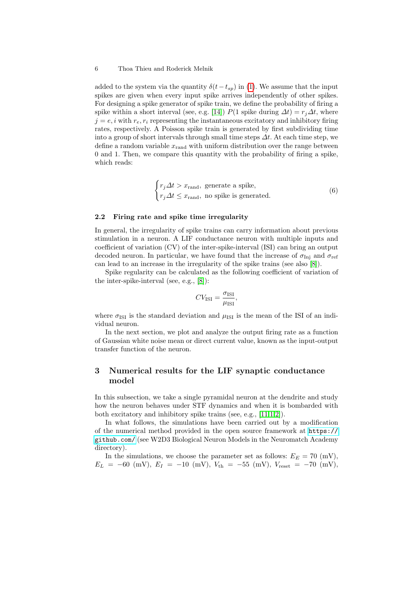#### 6 Thoa Thieu and Roderick Melnik

added to the system via the quantity  $\delta(t-t_{sp})$  in [\(1\)](#page-2-0). We assume that the input spikes are given when every input spike arrives independently of other spikes. For designing a spike generator of spike train, we define the probability of firing a spike within a short interval (see, e.g. [\[14\]](#page-13-7))  $P(1 \text{ spike during } \Delta t) = r_i \Delta t$ , where  $j = e, i$  with  $r_e, r_i$  representing the instantaneous excitatory and inhibitory firing rates, respectively. A Poisson spike train is generated by first subdividing time into a group of short intervals through small time steps  $\Delta t$ . At each time step, we define a random variable  $x_{rand}$  with uniform distribution over the range between 0 and 1. Then, we compare this quantity with the probability of firing a spike, which reads:

$$
\begin{cases} r_j \Delta t > x_{\text{rand}}, \text{ generate a spike}, \\ r_j \Delta t \le x_{\text{rand}}, \text{ no spike is generated}. \end{cases} \tag{6}
$$

#### 2.2 Firing rate and spike time irregularity

In general, the irregularity of spike trains can carry information about previous stimulation in a neuron. A LIF conductance neuron with multiple inputs and coefficient of variation (CV) of the inter-spike-interval (ISI) can bring an output decoded neuron. In particular, we have found that the increase of  $\sigma_{\text{Inj}}$  and  $\sigma_{\text{ref}}$ can lead to an increase in the irregularity of the spike trains (see also [\[8\]](#page-13-1)).

Spike regularity can be calculated as the following coefficient of variation of the inter-spike-interval (see, e.g., [\[8\]](#page-13-1)):

$$
CV_{\text{ISI}} = \frac{\sigma_{\text{ISI}}}{\mu_{\text{ISI}}},
$$

where  $\sigma_{\rm{ISI}}$  is the standard deviation and  $\mu_{\rm{ISI}}$  is the mean of the ISI of an individual neuron.

In the next section, we plot and analyze the output firing rate as a function of Gaussian white noise mean or direct current value, known as the input-output transfer function of the neuron.

# 3 Numerical results for the LIF synaptic conductance model

In this subsection, we take a single pyramidal neuron at the dendrite and study how the neuron behaves under STF dynamics and when it is bombarded with both excitatory and inhibitory spike trains (see, e.g., [\[11,](#page-13-4)[1,](#page-12-0)[2\]](#page-12-1)).

In what follows, the simulations have been carried out by a modification of the numerical method provided in the open source framework at [https://](https://github.com/) [github.com/](https://github.com/) (see W2D3 Biological Neuron Models in the Neuromatch Academy directory).

In the simulations, we choose the parameter set as follows:  $E_E = 70 \text{ (mV)}$ ,  $E_L = -60$  (mV),  $E_I = -10$  (mV),  $V_{th} = -55$  (mV),  $V_{reset} = -70$  (mV),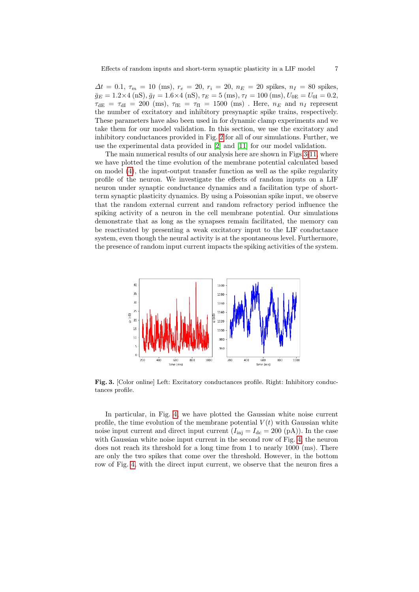$\Delta t = 0.1, \tau_m = 10 \text{ (ms)}, r_e = 20, r_i = 20, n_E = 20 \text{ spikes}, n_I = 80 \text{ spikes},$  $\bar{g}_E = 1.2 \times 4 \text{ (nS)}, \bar{g}_I = 1.6 \times 4 \text{ (nS)}, \tau_E = 5 \text{ (ms)}, \tau_I = 100 \text{ (ms)}, U_{0E} = U_{0I} = 0.2,$  $\tau_{\text{dE}} = \tau_{\text{dI}} = 200 \text{ (ms)}, \tau_{\text{fE}} = \tau_{\text{fI}} = 1500 \text{ (ms)}$ . Here,  $n_E$  and  $n_I$  represent the number of excitatory and inhibitory presynaptic spike trains, respectively. These parameters have also been used in for dynamic clamp experiments and we take them for our model validation. In this section, we use the excitatory and inhibitory conductances provided in Fig. [2](#page-3-1) for all of our simulations. Further, we use the experimental data provided in [\[2\]](#page-12-1) and [\[11\]](#page-13-4) for our model validation.

The main numerical results of our analysis here are shown in Figs[.3-](#page-6-0)[11,](#page-11-0) where we have plotted the time evolution of the membrane potential calculated based on model [\(4\)](#page-4-0), the input-output transfer function as well as the spike regularity profile of the neuron. We investigate the effects of random inputs on a LIF neuron under synaptic conductance dynamics and a facilitation type of shortterm synaptic plasticity dynamics. By using a Poissonian spike input, we observe that the random external current and random refractory period influence the spiking activity of a neuron in the cell membrane potential. Our simulations demonstrate that as long as the synapses remain facilitated, the memory can be reactivated by presenting a weak excitatory input to the LIF conductance system, even though the neural activity is at the spontaneous level. Furthermore, the presence of random input current impacts the spiking activities of the system.



<span id="page-6-0"></span>Fig. 3. [Color online] Left: Excitatory conductances profile. Right: Inhibitory conductances profile.

In particular, in Fig. [4,](#page-7-0) we have plotted the Gaussian white noise current profile, the time evolution of the membrane potential  $V(t)$  with Gaussian white noise input current and direct input current  $(I_{\text{ini}} = I_{\text{dc}} = 200 \text{ (pA)}$ . In the case with Gaussian white noise input current in the second row of Fig. [4,](#page-7-0) the neuron does not reach its threshold for a long time from 1 to nearly 1000 (ms). There are only the two spikes that come over the threshold. However, in the bottom row of Fig. [4,](#page-7-0) with the direct input current, we observe that the neuron fires a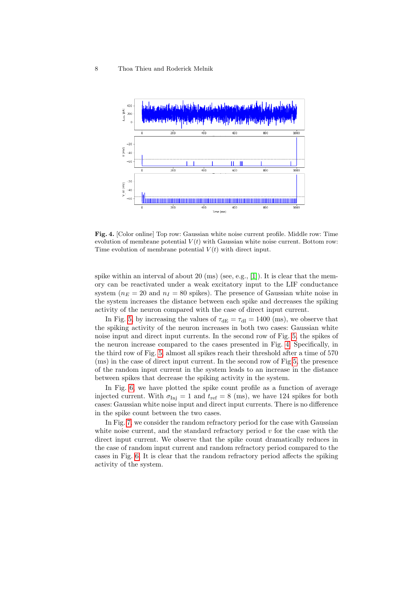

<span id="page-7-0"></span>Fig. 4. [Color online] Top row: Gaussian white noise current profile. Middle row: Time evolution of membrane potential  $V(t)$  with Gaussian white noise current. Bottom row: Time evolution of membrane potential  $V(t)$  with direct input.

spike within an interval of about  $20 \text{ (ms)}$  (see, e.g., [\[1\]](#page-12-0)). It is clear that the memory can be reactivated under a weak excitatory input to the LIF conductance system ( $n_E = 20$  and  $n_I = 80$  spikes). The presence of Gaussian white noise in the system increases the distance between each spike and decreases the spiking activity of the neuron compared with the case of direct input current.

In Fig. [5,](#page-8-0) by increasing the values of  $\tau_{\text{dE}} = \tau_{\text{dI}} = 1400$  (ms), we observe that the spiking activity of the neuron increases in both two cases: Gaussian white noise input and direct input currents. In the second row of Fig. [5,](#page-8-0) the spikes of the neuron increase compared to the cases presented in Fig. [4.](#page-7-0) Specifically, in the third row of Fig. [5,](#page-8-0) almost all spikes reach their threshold after a time of 570 (ms) in the case of direct input current. In the second row of Fig[.5,](#page-8-0) the presence of the random input current in the system leads to an increase in the distance between spikes that decrease the spiking activity in the system.

In Fig. [6,](#page-8-1) we have plotted the spike count profile as a function of average injected current. With  $\sigma_{\text{Inj}} = 1$  and  $t_{\text{ref}} = 8$  (ms), we have 124 spikes for both cases: Gaussian white noise input and direct input currents. There is no difference in the spike count between the two cases.

In Fig. [7,](#page-9-0) we consider the random refractory period for the case with Gaussian white noise current, and the standard refractory period  $v$  for the case with the direct input current. We observe that the spike count dramatically reduces in the case of random input current and random refractory period compared to the cases in Fig. [6.](#page-8-1) It is clear that the random refractory period affects the spiking activity of the system.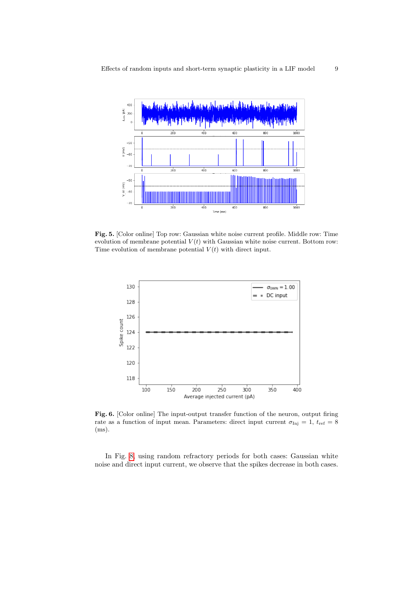

<span id="page-8-0"></span>Fig. 5. [Color online] Top row: Gaussian white noise current profile. Middle row: Time evolution of membrane potential  $V(t)$  with Gaussian white noise current. Bottom row: Time evolution of membrane potential  $V(t)$  with direct input.



<span id="page-8-1"></span>Fig. 6. [Color online] The input-output transfer function of the neuron, output firing rate as a function of input mean. Parameters: direct input current  $\sigma_{\text{Inj}} = 1, t_{\text{ref}} = 8$ (ms).

In Fig. [8,](#page-9-1) using random refractory periods for both cases: Gaussian white noise and direct input current, we observe that the spikes decrease in both cases.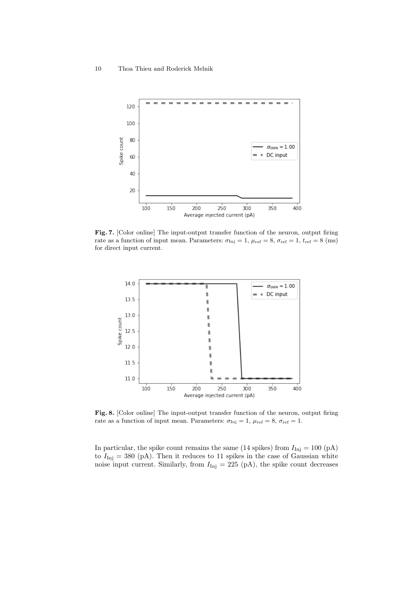

<span id="page-9-0"></span>Fig. 7. [Color online] The input-output transfer function of the neuron, output firing rate as a function of input mean. Parameters:  $\sigma_{\text{Inj}} = 1$ ,  $\mu_{\text{ref}} = 8$ ,  $\sigma_{\text{ref}} = 1$ ,  $t_{\text{ref}} = 8$  (ms) for direct input current.



<span id="page-9-1"></span>Fig. 8. [Color online] The input-output transfer function of the neuron, output firing rate as a function of input mean. Parameters:  $\sigma_{\text{Inj}} = 1$ ,  $\mu_{\text{ref}} = 8$ ,  $\sigma_{\text{ref}} = 1$ .

In particular, the spike count remains the same (14 spikes) from  $I_{\text{Inj}} = 100 \text{ (pA)}$ to  $I_{\text{Inj}} = 380 \text{ (pA)}$ . Then it reduces to 11 spikes in the case of Gaussian white noise input current. Similarly, from  $I_{\text{Inj}} = 225 \text{ (pA)}$ , the spike count decreases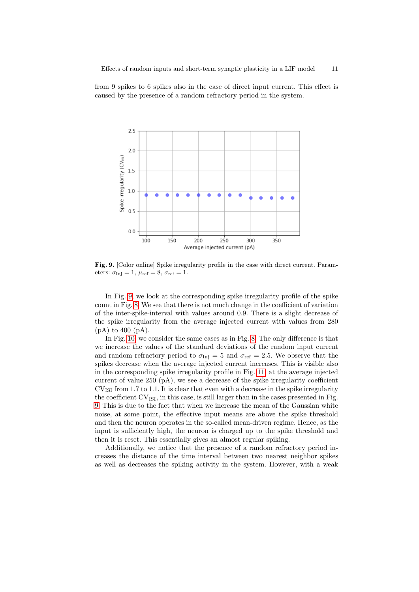from 9 spikes to 6 spikes also in the case of direct input current. This effect is caused by the presence of a random refractory period in the system.



<span id="page-10-0"></span>Fig. 9. [Color online] Spike irregularity profile in the case with direct current. Parameters:  $\sigma_{\text{Inj}} = 1$ ,  $\mu_{\text{ref}} = 8$ ,  $\sigma_{\text{ref}} = 1$ .

In Fig. [9,](#page-10-0) we look at the corresponding spike irregularity profile of the spike count in Fig. [8.](#page-9-1) We see that there is not much change in the coefficient of variation of the inter-spike-interval with values around 0.9. There is a slight decrease of the spike irregularity from the average injected current with values from 280  $(pA)$  to 400  $(pA)$ .

In Fig. [10,](#page-11-1) we consider the same cases as in Fig. [8.](#page-9-1) The only difference is that we increase the values of the standard deviations of the random input current and random refractory period to  $\sigma_{\text{Inj}} = 5$  and  $\sigma_{\text{ref}} = 2.5$ . We observe that the spikes decrease when the average injected current increases. This is visible also in the corresponding spike irregularity profile in Fig. [11,](#page-11-0) at the average injected current of value 250 (pA), we see a decrease of the spike irregularity coefficient  $CV_{ISI}$  from 1.7 to 1.1. It is clear that even with a decrease in the spike irregularity the coefficient  $CV_{ISI}$ , in this case, is still larger than in the cases presented in Fig. [9.](#page-10-0) This is due to the fact that when we increase the mean of the Gaussian white noise, at some point, the effective input means are above the spike threshold and then the neuron operates in the so-called mean-driven regime. Hence, as the input is sufficiently high, the neuron is charged up to the spike threshold and then it is reset. This essentially gives an almost regular spiking.

Additionally, we notice that the presence of a random refractory period increases the distance of the time interval between two nearest neighbor spikes as well as decreases the spiking activity in the system. However, with a weak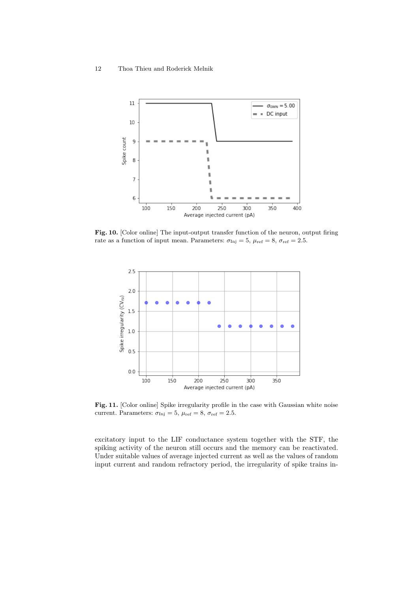

<span id="page-11-1"></span>Fig. 10. [Color online] The input-output transfer function of the neuron, output firing rate as a function of input mean. Parameters:  $\sigma_{\text{Inj}} = 5$ ,  $\mu_{\text{ref}} = 8$ ,  $\sigma_{\text{ref}} = 2.5$ .



<span id="page-11-0"></span>Fig. 11. [Color online] Spike irregularity profile in the case with Gaussian white noise current. Parameters:  $\sigma_{\text{Inj}} = 5$ ,  $\mu_{\text{ref}} = 8$ ,  $\sigma_{\text{ref}} = 2.5$ .

excitatory input to the LIF conductance system together with the STF, the spiking activity of the neuron still occurs and the memory can be reactivated. Under suitable values of average injected current as well as the values of random input current and random refractory period, the irregularity of spike trains in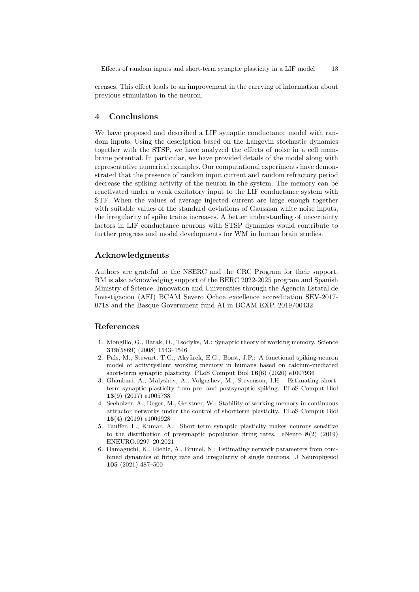creases. This effect leads to an improvement in the carrying of information about previous stimulation in the neuron.

# 4 Conclusions

We have proposed and described a LIF synaptic conductance model with random inputs. Using the description based on the Langevin stochastic dynamics together with the STSP, we have analyzed the effects of noise in a cell membrane potential. In particular, we have provided details of the model along with representative numerical examples. Our computational experiments have demonstrated that the presence of random input current and random refractory period decrease the spiking activity of the neuron in the system. The memory can be reactivated under a weak excitatory input to the LIF conductance system with STF. When the values of average injected current are large enough together with suitable values of the standard deviations of Gaussian white noise inputs, the irregularity of spike trains increases. A better understanding of uncertainty factors in LIF conductance neurons with STSP dynamics would contribute to further progress and model developments for WM in human brain studies.

# Acknowledgments

Authors are grateful to the NSERC and the CRC Program for their support. RM is also acknowledging support of the BERC 2022-2025 program and Spanish Ministry of Science, Innovation and Universities through the Agencia Estatal de Investigacion (AEI) BCAM Severo Ochoa excellence accreditation SEV-2017- 0718 and the Basque Government fund AI in BCAM EXP. 2019/00432.

## References

- <span id="page-12-0"></span>1. Mongillo, G., Barak, O., Tsodyks, M.: Synaptic theory of working memory. Science 319(5869) (2008) 1543–1546
- <span id="page-12-1"></span>2. Pals, M., Stewart, T.C., Akyürek, E.G., Borst, J.P.: A functional spiking-neuron model of activitysilent working memory in humans based on calcium-mediated short-term synaptic plasticity. PLoS Comput Biol 16(6) (2020) e1007936
- <span id="page-12-2"></span>3. Ghanbari, A., Malyshev, A., Volgushev, M., Stevenson, I.H.: Estimating shortterm synaptic plasticity from pre- and postsynaptic spiking. PLoS Comput Biol 13(9) (2017) e1005738
- <span id="page-12-3"></span>4. Seeholzer, A., Deger, M., Gerstner, W.: Stability of working memory in continuous attractor networks under the control of shortterm plasticity. PLoS Comput Biol 15(4) (2019) e1006928
- <span id="page-12-4"></span>5. Tauffer, L., Kumar, A.: Short-term synaptic plasticity makes neurons sensitive to the distribution of presynaptic population firing rates. eNeuro  $8(2)$  (2019) ENEURO.0297–20.2021
- <span id="page-12-5"></span>6. Hamaguchi, K., Riehle, A., Brunel, N.: Estimating network parameters from combined dynamics of firing rate and irregularity of single neurons. J Neurophysiol 105 (2021) 487–500